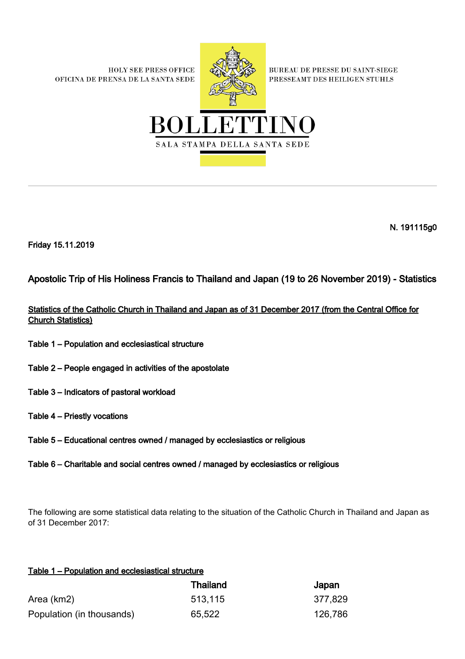**HOLY SEE PRESS OFFICE** OFICINA DE PRENSA DE LA SANTA SEDE



**BUREAU DE PRESSE DU SAINT-SIEGE** PRESSEAMT DES HEILIGEN STUHLS



N. 191115g0

Friday 15.11.2019

Apostolic Trip of His Holiness Francis to Thailand and Japan (19 to 26 November 2019) - Statistics

Statistics of the Catholic Church in Thailand and Japan as of 31 December 2017 (from the Central Office for Church Statistics)

- Table 1 Population and ecclesiastical structure
- Table 2 People engaged in activities of the apostolate
- Table 3 Indicators of pastoral workload
- Table 4 Priestly vocations
- Table 5 Educational centres owned / managed by ecclesiastics or religious
- Table 6 Charitable and social centres owned / managed by ecclesiastics or religious

The following are some statistical data relating to the situation of the Catholic Church in Thailand and Japan as of 31 December 2017:

## Table 1 – Population and ecclesiastical structure

|                           | Thailand | Japan   |
|---------------------------|----------|---------|
| Area (km2)                | 513,115  | 377,829 |
| Population (in thousands) | 65,522   | 126,786 |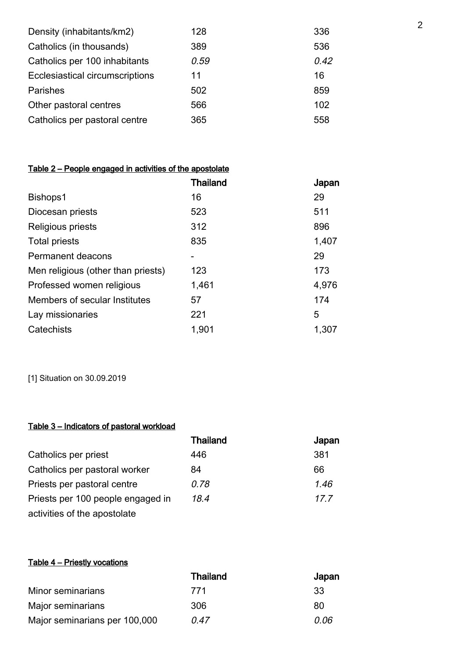| 128  | 336  |
|------|------|
| 389  | 536  |
| 0.59 | 0.42 |
| 11   | 16   |
| 502  | 859  |
| 566  | 102  |
| 365  | 558  |
|      |      |

## Table 2 – People engaged in activities of the apostolate

|                                    | Thailand | Japan |
|------------------------------------|----------|-------|
| Bishops1                           | 16       | 29    |
| Diocesan priests                   | 523      | 511   |
| Religious priests                  | 312      | 896   |
| <b>Total priests</b>               | 835      | 1,407 |
| Permanent deacons                  |          | 29    |
| Men religious (other than priests) | 123      | 173   |
| Professed women religious          | 1,461    | 4,976 |
| Members of secular Institutes      | 57       | 174   |
| Lay missionaries                   | 221      | 5     |
| Catechists                         | 1,901    | 1,307 |

[1] Situation on 30.09.2019

## Table 3 – Indicators of pastoral workload

|                                   | <b>Thailand</b> | Japan |
|-----------------------------------|-----------------|-------|
| Catholics per priest              | 446             | 381   |
| Catholics per pastoral worker     | 84              | 66    |
| Priests per pastoral centre       | 0.78            | 1.46  |
| Priests per 100 people engaged in | 18 4            | 17.7  |
| activities of the apostolate      |                 |       |

## Table 4 – Priestly vocations

|                               | <b>Thailand</b> | Japan |
|-------------------------------|-----------------|-------|
| Minor seminarians             | 771             | -33   |
| Major seminarians             | 306             | 80    |
| Major seminarians per 100,000 | 0 47            | 0 O6  |